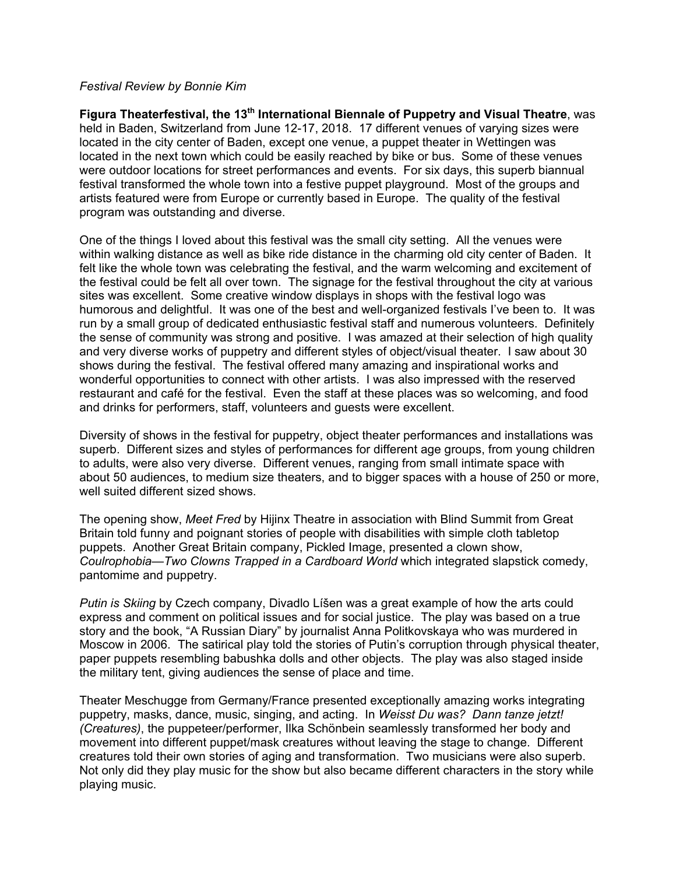## *Festival Review by Bonnie Kim*

**Figura Theaterfestival, the 13th International Biennale of Puppetry and Visual Theatre**, was held in Baden, Switzerland from June 12-17, 2018. 17 different venues of varying sizes were located in the city center of Baden, except one venue, a puppet theater in Wettingen was located in the next town which could be easily reached by bike or bus. Some of these venues were outdoor locations for street performances and events. For six days, this superb biannual festival transformed the whole town into a festive puppet playground. Most of the groups and artists featured were from Europe or currently based in Europe. The quality of the festival program was outstanding and diverse.

One of the things I loved about this festival was the small city setting. All the venues were within walking distance as well as bike ride distance in the charming old city center of Baden. It felt like the whole town was celebrating the festival, and the warm welcoming and excitement of the festival could be felt all over town. The signage for the festival throughout the city at various sites was excellent. Some creative window displays in shops with the festival logo was humorous and delightful. It was one of the best and well-organized festivals I've been to. It was run by a small group of dedicated enthusiastic festival staff and numerous volunteers. Definitely the sense of community was strong and positive. I was amazed at their selection of high quality and very diverse works of puppetry and different styles of object/visual theater. I saw about 30 shows during the festival. The festival offered many amazing and inspirational works and wonderful opportunities to connect with other artists. I was also impressed with the reserved restaurant and café for the festival. Even the staff at these places was so welcoming, and food and drinks for performers, staff, volunteers and guests were excellent.

Diversity of shows in the festival for puppetry, object theater performances and installations was superb. Different sizes and styles of performances for different age groups, from young children to adults, were also very diverse. Different venues, ranging from small intimate space with about 50 audiences, to medium size theaters, and to bigger spaces with a house of 250 or more, well suited different sized shows.

The opening show, *Meet Fred* by Hijinx Theatre in association with Blind Summit from Great Britain told funny and poignant stories of people with disabilities with simple cloth tabletop puppets. Another Great Britain company, Pickled Image, presented a clown show, *Coulrophobia—Two Clowns Trapped in a Cardboard World* which integrated slapstick comedy, pantomime and puppetry.

*Putin is Skiing* by Czech company, Divadlo Líšen was a great example of how the arts could express and comment on political issues and for social justice. The play was based on a true story and the book, "A Russian Diary" by journalist Anna Politkovskaya who was murdered in Moscow in 2006. The satirical play told the stories of Putin's corruption through physical theater, paper puppets resembling babushka dolls and other objects. The play was also staged inside the military tent, giving audiences the sense of place and time.

Theater Meschugge from Germany/France presented exceptionally amazing works integrating puppetry, masks, dance, music, singing, and acting. In *Weisst Du was? Dann tanze jetzt! (Creatures)*, the puppeteer/performer, Ilka Schönbein seamlessly transformed her body and movement into different puppet/mask creatures without leaving the stage to change. Different creatures told their own stories of aging and transformation. Two musicians were also superb. Not only did they play music for the show but also became different characters in the story while playing music.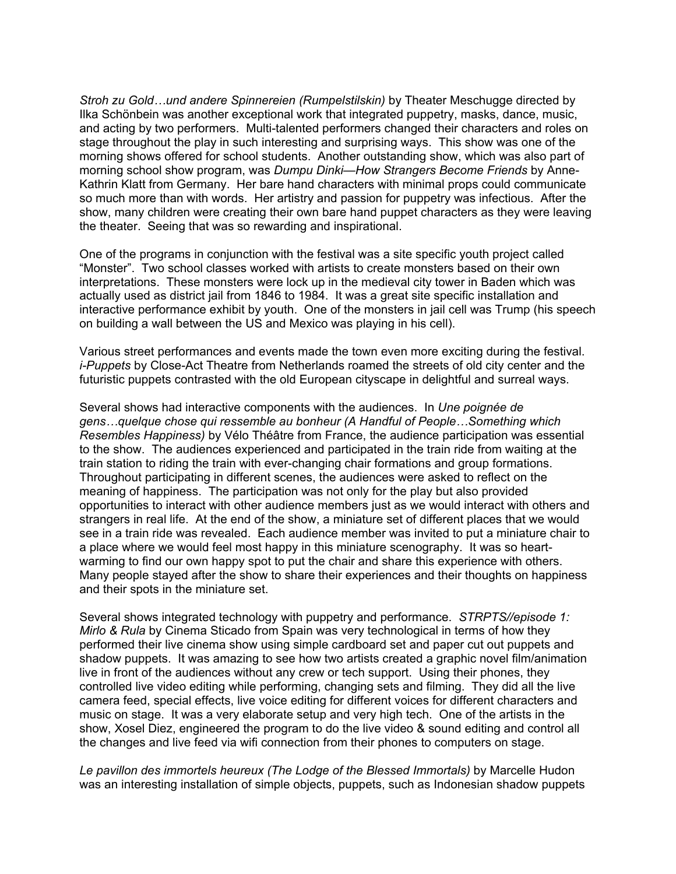*Stroh zu Gold…und andere Spinnereien (Rumpelstilskin)* by Theater Meschugge directed by Ilka Schönbein was another exceptional work that integrated puppetry, masks, dance, music, and acting by two performers. Multi-talented performers changed their characters and roles on stage throughout the play in such interesting and surprising ways. This show was one of the morning shows offered for school students. Another outstanding show, which was also part of morning school show program, was *Dumpu Dinki—How Strangers Become Friends* by Anne-Kathrin Klatt from Germany. Her bare hand characters with minimal props could communicate so much more than with words. Her artistry and passion for puppetry was infectious. After the show, many children were creating their own bare hand puppet characters as they were leaving the theater. Seeing that was so rewarding and inspirational.

One of the programs in conjunction with the festival was a site specific youth project called "Monster". Two school classes worked with artists to create monsters based on their own interpretations. These monsters were lock up in the medieval city tower in Baden which was actually used as district jail from 1846 to 1984. It was a great site specific installation and interactive performance exhibit by youth. One of the monsters in jail cell was Trump (his speech on building a wall between the US and Mexico was playing in his cell).

Various street performances and events made the town even more exciting during the festival. *i-Puppets* by Close-Act Theatre from Netherlands roamed the streets of old city center and the futuristic puppets contrasted with the old European cityscape in delightful and surreal ways.

Several shows had interactive components with the audiences. In *Une poignée de gens…quelque chose qui ressemble au bonheur (A Handful of People…Something which Resembles Happiness)* by Vélo Théâtre from France, the audience participation was essential to the show. The audiences experienced and participated in the train ride from waiting at the train station to riding the train with ever-changing chair formations and group formations. Throughout participating in different scenes, the audiences were asked to reflect on the meaning of happiness. The participation was not only for the play but also provided opportunities to interact with other audience members just as we would interact with others and strangers in real life. At the end of the show, a miniature set of different places that we would see in a train ride was revealed. Each audience member was invited to put a miniature chair to a place where we would feel most happy in this miniature scenography. It was so heartwarming to find our own happy spot to put the chair and share this experience with others. Many people stayed after the show to share their experiences and their thoughts on happiness and their spots in the miniature set.

Several shows integrated technology with puppetry and performance. *STRPTS//episode 1: Mirlo & Rula* by Cinema Sticado from Spain was very technological in terms of how they performed their live cinema show using simple cardboard set and paper cut out puppets and shadow puppets. It was amazing to see how two artists created a graphic novel film/animation live in front of the audiences without any crew or tech support. Using their phones, they controlled live video editing while performing, changing sets and filming. They did all the live camera feed, special effects, live voice editing for different voices for different characters and music on stage. It was a very elaborate setup and very high tech. One of the artists in the show, Xosel Diez, engineered the program to do the live video & sound editing and control all the changes and live feed via wifi connection from their phones to computers on stage.

*Le pavillon des immortels heureux (The Lodge of the Blessed Immortals)* by Marcelle Hudon was an interesting installation of simple objects, puppets, such as Indonesian shadow puppets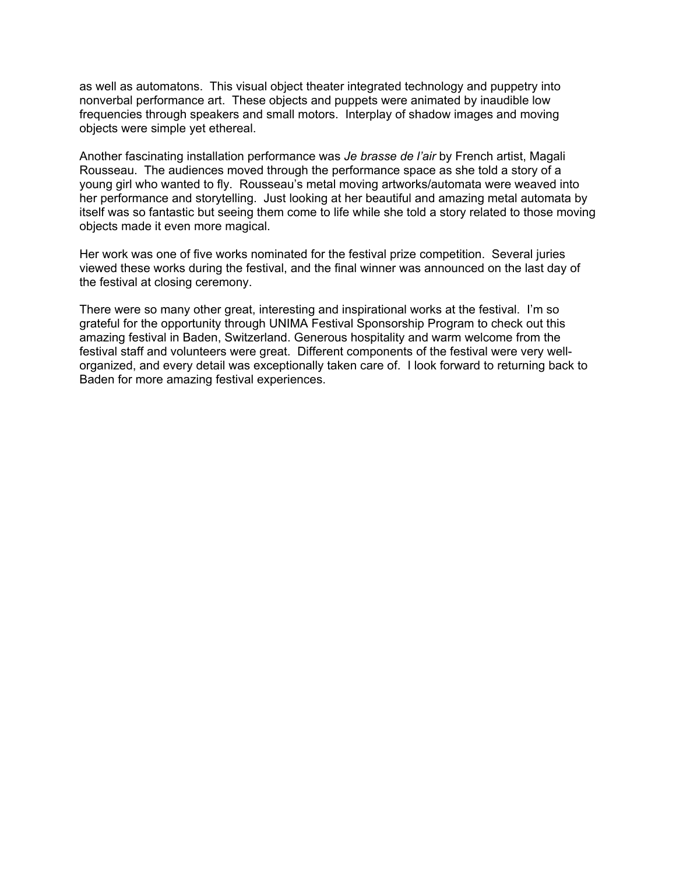as well as automatons. This visual object theater integrated technology and puppetry into nonverbal performance art. These objects and puppets were animated by inaudible low frequencies through speakers and small motors. Interplay of shadow images and moving objects were simple yet ethereal.

Another fascinating installation performance was *Je brasse de l'air* by French artist, Magali Rousseau. The audiences moved through the performance space as she told a story of a young girl who wanted to fly. Rousseau's metal moving artworks/automata were weaved into her performance and storytelling. Just looking at her beautiful and amazing metal automata by itself was so fantastic but seeing them come to life while she told a story related to those moving objects made it even more magical.

Her work was one of five works nominated for the festival prize competition. Several juries viewed these works during the festival, and the final winner was announced on the last day of the festival at closing ceremony.

There were so many other great, interesting and inspirational works at the festival. I'm so grateful for the opportunity through UNIMA Festival Sponsorship Program to check out this amazing festival in Baden, Switzerland. Generous hospitality and warm welcome from the festival staff and volunteers were great. Different components of the festival were very wellorganized, and every detail was exceptionally taken care of. I look forward to returning back to Baden for more amazing festival experiences.